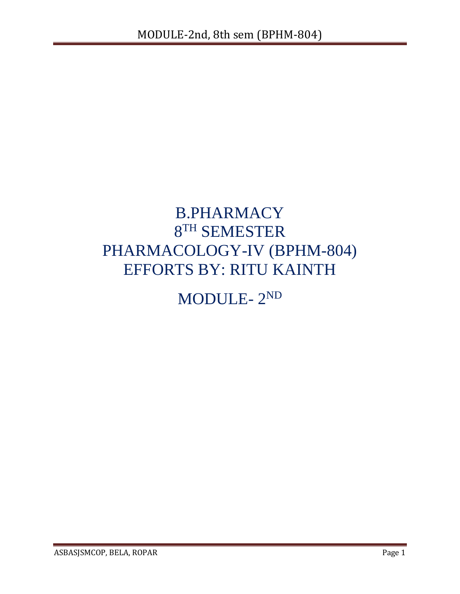# B.PHARMACY 8 TH SEMESTER PHARMACOLOGY-IV (BPHM-804) EFFORTS BY: RITU KAINTH

# MODULE- 2 ND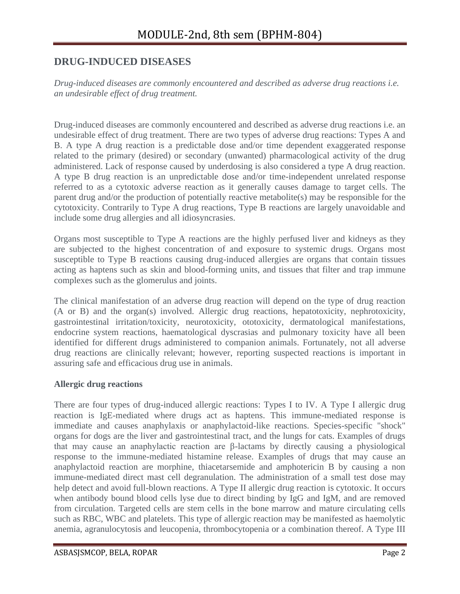# **DRUG-INDUCED DISEASES**

*Drug-induced diseases are commonly encountered and described as adverse drug reactions i.e. an undesirable effect of drug treatment.*

Drug-induced diseases are commonly encountered and described as adverse drug reactions i.e. an undesirable effect of drug treatment. There are two types of adverse drug reactions: Types A and B. A type A drug reaction is a predictable dose and/or time dependent exaggerated response related to the primary (desired) or secondary (unwanted) pharmacological activity of the drug administered. Lack of response caused by underdosing is also considered a type A drug reaction. A type B drug reaction is an unpredictable dose and/or time-independent unrelated response referred to as a cytotoxic adverse reaction as it generally causes damage to target cells. The parent drug and/or the production of potentially reactive metabolite(s) may be responsible for the cytotoxicity. Contrarily to Type A drug reactions, Type B reactions are largely unavoidable and include some drug allergies and all idiosyncrasies.

Organs most susceptible to Type A reactions are the highly perfused liver and kidneys as they are subjected to the highest concentration of and exposure to systemic drugs. Organs most susceptible to Type B reactions causing drug-induced allergies are organs that contain tissues acting as haptens such as skin and blood-forming units, and tissues that filter and trap immune complexes such as the glomerulus and joints.

The clinical manifestation of an adverse drug reaction will depend on the type of drug reaction (A or B) and the organ(s) involved. Allergic drug reactions, hepatotoxicity, nephrotoxicity, gastrointestinal irritation/toxicity, neurotoxicity, ototoxicity, dermatological manifestations, endocrine system reactions, haematological dyscrasias and pulmonary toxicity have all been identified for different drugs administered to companion animals. Fortunately, not all adverse drug reactions are clinically relevant; however, reporting suspected reactions is important in assuring safe and efficacious drug use in animals.

## **Allergic drug reactions**

There are four types of drug-induced allergic reactions: Types I to IV. A Type I allergic drug reaction is IgE-mediated where drugs act as haptens. This immune-mediated response is immediate and causes anaphylaxis or anaphylactoid-like reactions. Species-specific "shock" organs for dogs are the liver and gastrointestinal tract, and the lungs for cats. Examples of drugs that may cause an anaphylactic reaction are β-lactams by directly causing a physiological response to the immune-mediated histamine release. Examples of drugs that may cause an anaphylactoid reaction are morphine, thiacetarsemide and amphotericin B by causing a non immune-mediated direct mast cell degranulation. The administration of a small test dose may help detect and avoid full-blown reactions. A Type II allergic drug reaction is cytotoxic. It occurs when antibody bound blood cells lyse due to direct binding by IgG and IgM, and are removed from circulation. Targeted cells are stem cells in the bone marrow and mature circulating cells such as RBC, WBC and platelets. This type of allergic reaction may be manifested as haemolytic anemia, agranulocytosis and leucopenia, thrombocytopenia or a combination thereof. A Type III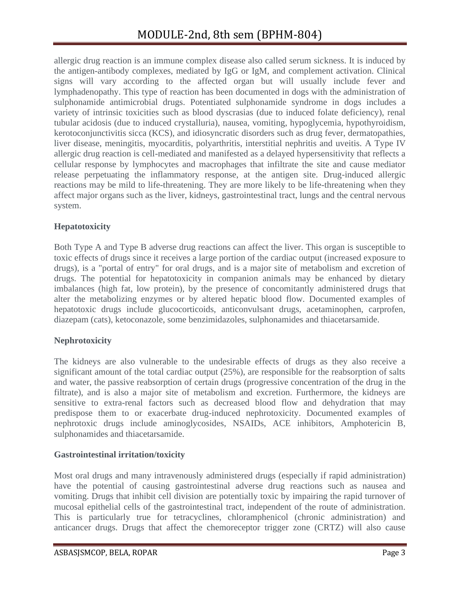allergic drug reaction is an immune complex disease also called serum sickness. It is induced by the antigen-antibody complexes, mediated by IgG or IgM, and complement activation. Clinical signs will vary according to the affected organ but will usually include fever and lymphadenopathy. This type of reaction has been documented in dogs with the administration of sulphonamide antimicrobial drugs. Potentiated sulphonamide syndrome in dogs includes a variety of intrinsic toxicities such as blood dyscrasias (due to induced folate deficiency), renal tubular acidosis (due to induced crystalluria), nausea, vomiting, hypoglycemia, hypothyroidism, kerotoconjunctivitis sicca (KCS), and idiosyncratic disorders such as drug fever, dermatopathies, liver disease, meningitis, myocarditis, polyarthritis, interstitial nephritis and uveitis. A Type IV allergic drug reaction is cell-mediated and manifested as a delayed hypersensitivity that reflects a cellular response by lymphocytes and macrophages that infiltrate the site and cause mediator release perpetuating the inflammatory response, at the antigen site. Drug-induced allergic reactions may be mild to life-threatening. They are more likely to be life-threatening when they affect major organs such as the liver, kidneys, gastrointestinal tract, lungs and the central nervous system.

# **Hepatotoxicity**

Both Type A and Type B adverse drug reactions can affect the liver. This organ is susceptible to toxic effects of drugs since it receives a large portion of the cardiac output (increased exposure to drugs), is a "portal of entry" for oral drugs, and is a major site of metabolism and excretion of drugs. The potential for hepatotoxicity in companion animals may be enhanced by dietary imbalances (high fat, low protein), by the presence of concomitantly administered drugs that alter the metabolizing enzymes or by altered hepatic blood flow. Documented examples of hepatotoxic drugs include glucocorticoids, anticonvulsant drugs, acetaminophen, carprofen, diazepam (cats), ketoconazole, some benzimidazoles, sulphonamides and thiacetarsamide.

# **Nephrotoxicity**

The kidneys are also vulnerable to the undesirable effects of drugs as they also receive a significant amount of the total cardiac output (25%), are responsible for the reabsorption of salts and water, the passive reabsorption of certain drugs (progressive concentration of the drug in the filtrate), and is also a major site of metabolism and excretion. Furthermore, the kidneys are sensitive to extra-renal factors such as decreased blood flow and dehydration that may predispose them to or exacerbate drug-induced nephrotoxicity. Documented examples of nephrotoxic drugs include aminoglycosides, NSAIDs, ACE inhibitors, Amphotericin B, sulphonamides and thiacetarsamide.

# **Gastrointestinal irritation/toxicity**

Most oral drugs and many intravenously administered drugs (especially if rapid administration) have the potential of causing gastrointestinal adverse drug reactions such as nausea and vomiting. Drugs that inhibit cell division are potentially toxic by impairing the rapid turnover of mucosal epithelial cells of the gastrointestinal tract, independent of the route of administration. This is particularly true for tetracyclines, chloramphenicol (chronic administration) and anticancer drugs. Drugs that affect the chemoreceptor trigger zone (CRTZ) will also cause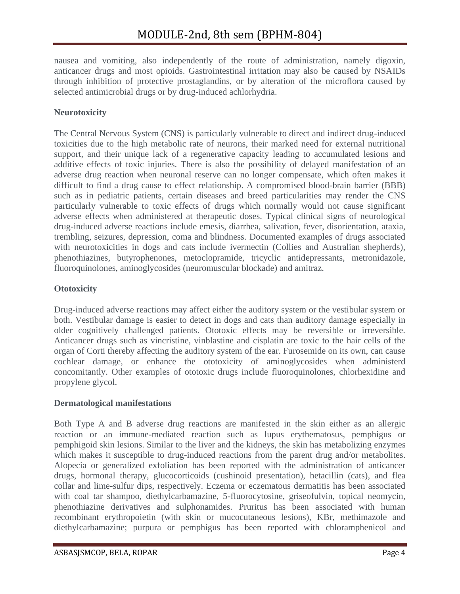nausea and vomiting, also independently of the route of administration, namely digoxin, anticancer drugs and most opioids. Gastrointestinal irritation may also be caused by NSAIDs through inhibition of protective prostaglandins, or by alteration of the microflora caused by selected antimicrobial drugs or by drug-induced achlorhydria.

# **Neurotoxicity**

The Central Nervous System (CNS) is particularly vulnerable to direct and indirect drug-induced toxicities due to the high metabolic rate of neurons, their marked need for external nutritional support, and their unique lack of a regenerative capacity leading to accumulated lesions and additive effects of toxic injuries. There is also the possibility of delayed manifestation of an adverse drug reaction when neuronal reserve can no longer compensate, which often makes it difficult to find a drug cause to effect relationship. A compromised blood-brain barrier (BBB) such as in pediatric patients, certain diseases and breed particularities may render the CNS particularly vulnerable to toxic effects of drugs which normally would not cause significant adverse effects when administered at therapeutic doses. Typical clinical signs of neurological drug-induced adverse reactions include emesis, diarrhea, salivation, fever, disorientation, ataxia, trembling, seizures, depression, coma and blindness. Documented examples of drugs associated with neurotoxicities in dogs and cats include ivermectin (Collies and Australian shepherds), phenothiazines, butyrophenones, metoclopramide, tricyclic antidepressants, metronidazole, fluoroquinolones, aminoglycosides (neuromuscular blockade) and amitraz.

# **Ototoxicity**

Drug-induced adverse reactions may affect either the auditory system or the vestibular system or both. Vestibular damage is easier to detect in dogs and cats than auditory damage especially in older cognitively challenged patients. Ototoxic effects may be reversible or irreversible. Anticancer drugs such as vincristine, vinblastine and cisplatin are toxic to the hair cells of the organ of Corti thereby affecting the auditory system of the ear. Furosemide on its own, can cause cochlear damage, or enhance the ototoxicity of aminoglycosides when administerd concomitantly. Other examples of ototoxic drugs include fluoroquinolones, chlorhexidine and propylene glycol.

# **Dermatological manifestations**

Both Type A and B adverse drug reactions are manifested in the skin either as an allergic reaction or an immune-mediated reaction such as lupus erythematosus, pemphigus or pemphigoid skin lesions. Similar to the liver and the kidneys, the skin has metabolizing enzymes which makes it susceptible to drug-induced reactions from the parent drug and/or metabolites. Alopecia or generalized exfoliation has been reported with the administration of anticancer drugs, hormonal therapy, glucocorticoids (cushinoid presentation), hetacillin (cats), and flea collar and lime-sulfur dips, respectively. Eczema or eczematous dermatitis has been associated with coal tar shampoo, diethylcarbamazine, 5-fluorocytosine, griseofulvin, topical neomycin, phenothiazine derivatives and sulphonamides. Pruritus has been associated with human recombinant erythropoietin (with skin or mucocutaneous lesions), KBr, methimazole and diethylcarbamazine; purpura or pemphigus has been reported with chloramphenicol and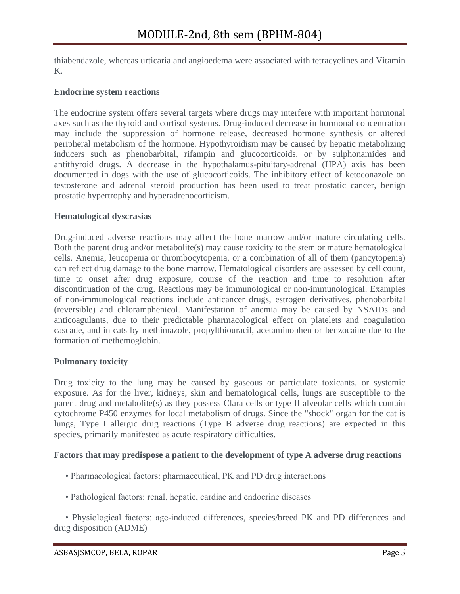thiabendazole, whereas urticaria and angioedema were associated with tetracyclines and Vitamin K.

#### **Endocrine system reactions**

The endocrine system offers several targets where drugs may interfere with important hormonal axes such as the thyroid and cortisol systems. Drug-induced decrease in hormonal concentration may include the suppression of hormone release, decreased hormone synthesis or altered peripheral metabolism of the hormone. Hypothyroidism may be caused by hepatic metabolizing inducers such as phenobarbital, rifampin and glucocorticoids, or by sulphonamides and antithyroid drugs. A decrease in the hypothalamus-pituitary-adrenal (HPA) axis has been documented in dogs with the use of glucocorticoids. The inhibitory effect of ketoconazole on testosterone and adrenal steroid production has been used to treat prostatic cancer, benign prostatic hypertrophy and hyperadrenocorticism.

#### **Hematological dyscrasias**

Drug-induced adverse reactions may affect the bone marrow and/or mature circulating cells. Both the parent drug and/or metabolite(s) may cause toxicity to the stem or mature hematological cells. Anemia, leucopenia or thrombocytopenia, or a combination of all of them (pancytopenia) can reflect drug damage to the bone marrow. Hematological disorders are assessed by cell count, time to onset after drug exposure, course of the reaction and time to resolution after discontinuation of the drug. Reactions may be immunological or non-immunological. Examples of non-immunological reactions include anticancer drugs, estrogen derivatives, phenobarbital (reversible) and chloramphenicol. Manifestation of anemia may be caused by NSAIDs and anticoagulants, due to their predictable pharmacological effect on platelets and coagulation cascade, and in cats by methimazole, propylthiouracil, acetaminophen or benzocaine due to the formation of methemoglobin.

## **Pulmonary toxicity**

Drug toxicity to the lung may be caused by gaseous or particulate toxicants, or systemic exposure. As for the liver, kidneys, skin and hematological cells, lungs are susceptible to the parent drug and metabolite(s) as they possess Clara cells or type II alveolar cells which contain cytochrome P450 enzymes for local metabolism of drugs. Since the "shock" organ for the cat is lungs, Type I allergic drug reactions (Type B adverse drug reactions) are expected in this species, primarily manifested as acute respiratory difficulties.

## **Factors that may predispose a patient to the development of type A adverse drug reactions**

- Pharmacological factors: pharmaceutical, PK and PD drug interactions
- Pathological factors: renal, hepatic, cardiac and endocrine diseases

 • Physiological factors: age-induced differences, species/breed PK and PD differences and drug disposition (ADME)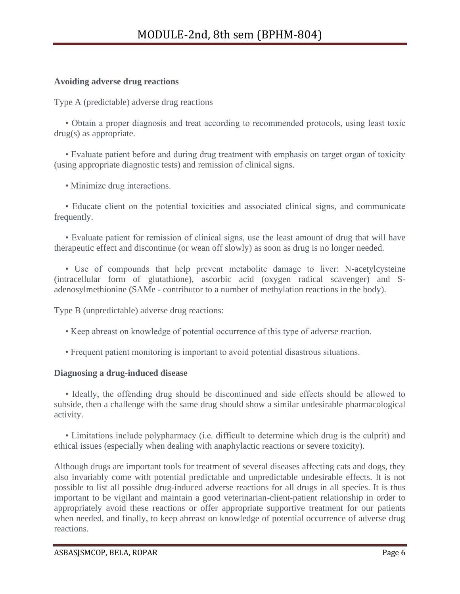## **Avoiding adverse drug reactions**

Type A (predictable) adverse drug reactions

 • Obtain a proper diagnosis and treat according to recommended protocols, using least toxic drug(s) as appropriate.

 • Evaluate patient before and during drug treatment with emphasis on target organ of toxicity (using appropriate diagnostic tests) and remission of clinical signs.

• Minimize drug interactions.

 • Educate client on the potential toxicities and associated clinical signs, and communicate frequently.

 • Evaluate patient for remission of clinical signs, use the least amount of drug that will have therapeutic effect and discontinue (or wean off slowly) as soon as drug is no longer needed.

 • Use of compounds that help prevent metabolite damage to liver: N-acetylcysteine (intracellular form of glutathione), ascorbic acid (oxygen radical scavenger) and Sadenosylmethionine (SAMe - contributor to a number of methylation reactions in the body).

Type B (unpredictable) adverse drug reactions:

- Keep abreast on knowledge of potential occurrence of this type of adverse reaction.
- Frequent patient monitoring is important to avoid potential disastrous situations.

## **Diagnosing a drug-induced disease**

 • Ideally, the offending drug should be discontinued and side effects should be allowed to subside, then a challenge with the same drug should show a similar undesirable pharmacological activity.

 • Limitations include polypharmacy (i.e. difficult to determine which drug is the culprit) and ethical issues (especially when dealing with anaphylactic reactions or severe toxicity).

Although drugs are important tools for treatment of several diseases affecting cats and dogs, they also invariably come with potential predictable and unpredictable undesirable effects. It is not possible to list all possible drug-induced adverse reactions for all drugs in all species. It is thus important to be vigilant and maintain a good veterinarian-client-patient relationship in order to appropriately avoid these reactions or offer appropriate supportive treatment for our patients when needed, and finally, to keep abreast on knowledge of potential occurrence of adverse drug reactions.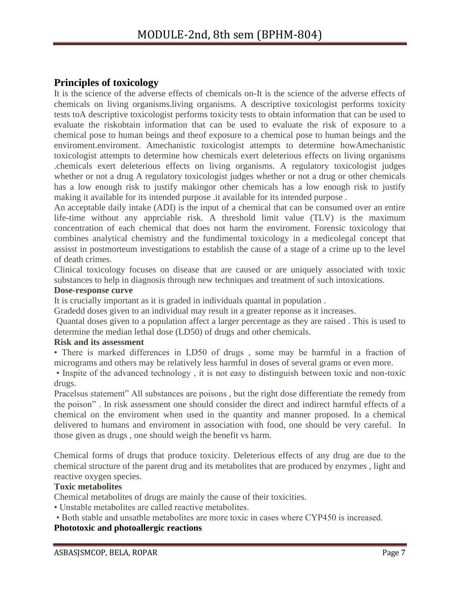# **Principles of toxicology**

It is the science of the adverse effects of chemicals on-It is the science of the adverse effects of chemicals on living organisms.living organisms. A descriptive toxicologist performs toxicity tests toA descriptive toxicologist performs toxicity tests to obtain information that can be used to evaluate the riskobtain information that can be used to evaluate the risk of exposure to a chemical pose to human beings and theof exposure to a chemical pose to human beings and the enviroment.enviroment. Amechanistic toxicologist attempts to determine howAmechanistic toxicologist attempts to determine how chemicals exert deleterious effects on living organisms .chemicals exert deleterious effects on living organisms. A regulatory toxicologist judges whether or not a drug A regulatory toxicologist judges whether or not a drug or other chemicals has a low enough risk to justify makingor other chemicals has a low enough risk to justify making it available for its intended purpose .it available for its intended purpose .

An acceptable daily intake (ADI) is the input of a chemical that can be consumed over an entire life-time without any apprciable risk. A threshold limit value (TLV) is the maximum concentration of each chemical that does not harm the enviroment. Forensic toxicology that combines analytical chemistry and the fundimental toxicology in a medicolegal concept that assisst in postmorteum investigations to establish the cause of a stage of a crime up to the level of death crimes.

Clinical toxicology focuses on disease that are caused or are uniquely associated with toxic substances to help in diagnosis through new techniques and treatment of such intoxications.

## **Dose-response curve**

It is crucially important as it is graded in individuals quantal in population .

Gradedd doses given to an individual may result in a greater reponse as it increases.

Quantal doses given to a population affect a larger percentage as they are raised . This is used to determine the median lethal dose (LD50) of drugs and other chemicals.

## **Risk and its assessment**

• There is marked differences in LD50 of drugs , some may be harmful in a fraction of micrograms and others may be relatively less harmful in doses of several grams or even more.

• Inspite of the advanced technology , it is not easy to distinguish between toxic and non-toxic drugs.

Pracelsus statement" All substances are poisons , but the right dose differentiate the remedy from the poison" . In risk assessment one should consider the direct and indirect harmful effects of a chemical on the enviroment when used in the quantity and manner proposed. In a chemical delivered to humans and enviroment in association with food, one should be very careful. In those given as drugs , one should weigh the benefit vs harm.

Chemical forms of drugs that produce toxicity. Deleterious effects of any drug are due to the chemical structure of the parent drug and its metabolites that are produced by enzymes , light and reactive oxygen species.

## **Toxic metabolites**

Chemical metabolites of drugs are mainly the cause of their toxicities.

• Unstable metabolites are called reactive metabolites.

• Both stable and unsatble metabolites are more toxic in cases where CYP450 is increased.

# **Phototoxic and photoallergic reactions**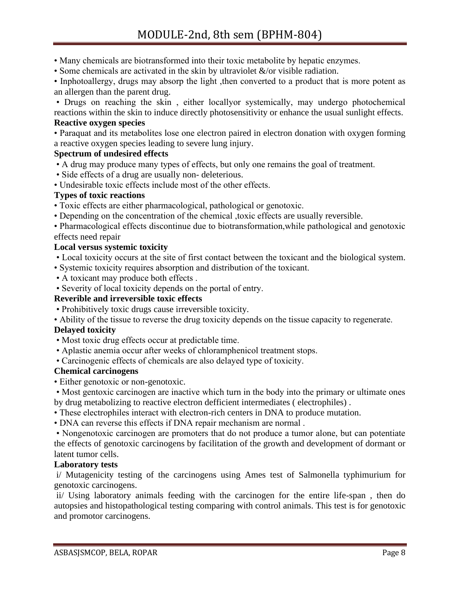- Many chemicals are biotransformed into their toxic metabolite by hepatic enzymes.
- Some chemicals are activated in the skin by ultraviolet  $\&$ /or visible radiation.

• Inphotoallergy, drugs may absorp the light, then converted to a product that is more potent as an allergen than the parent drug.

• Drugs on reaching the skin , either locallyor systemically, may undergo photochemical reactions within the skin to induce directly photosensitivity or enhance the usual sunlight effects.

# **Reactive oxygen species**

• Paraquat and its metabolites lose one electron paired in electron donation with oxygen forming a reactive oxygen species leading to severe lung injury.

## **Spectrum of undesired effects**

• A drug may produce many types of effects, but only one remains the goal of treatment.

- Side effects of a drug are usually non- deleterious.
- Undesirable toxic effects include most of the other effects.

## **Types of toxic reactions**

- Toxic effects are either pharmacological, pathological or genotoxic.
- Depending on the concentration of the chemical ,toxic effects are usually reversible.
- Pharmacological effects discontinue due to biotransformation,while pathological and genotoxic effects need repair

## **Local versus systemic toxicity**

- Local toxicity occurs at the site of first contact between the toxicant and the biological system.
- Systemic toxicity requires absorption and distribution of the toxicant.
- A toxicant may produce both effects .
- Severity of local toxicity depends on the portal of entry.

## **Reverible and irreversible toxic effects**

- Prohibitively toxic drugs cause irreversible toxicity.
- Ability of the tissue to reverse the drug toxicity depends on the tissue capacity to regenerate.

# **Delayed toxicity**

- Most toxic drug effects occur at predictable time.
- Aplastic anemia occur after weeks of chloramphenicol treatment stops.
- Carcinogenic effects of chemicals are also delayed type of toxicity.

## **Chemical carcinogens**

- Either genotoxic or non-genotoxic.
- Most gentoxic carcinogen are inactive which turn in the body into the primary or ultimate ones by drug metabolizing to reactive electron defficient intermediates ( electrophiles) .
- These electrophiles interact with electron-rich centers in DNA to produce mutation.
- DNA can reverse this effects if DNA repair mechanism are normal .

• Nongenotoxic carcinogen are promoters that do not produce a tumor alone, but can potentiate the effects of genotoxic carcinogens by facilitation of the growth and development of dormant or latent tumor cells.

## **Laboratory tests**

i/ Mutagenicity testing of the carcinogens using Ames test of Salmonella typhimurium for genotoxic carcinogens.

ii/ Using laboratory animals feeding with the carcinogen for the entire life-span , then do autopsies and histopathological testing comparing with control animals. This test is for genotoxic and promotor carcinogens.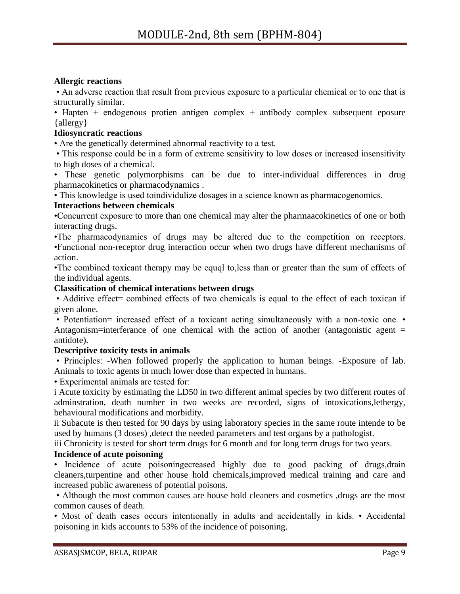# **Allergic reactions**

• An adverse reaction that result from previous exposure to a particular chemical or to one that is structurally similar.

• Hapten  $+$  endogenous protien antigen complex  $+$  antibody complex subsequent eposure {allergy}

## **Idiosyncratic reactions**

• Are the genetically determined abnormal reactivity to a test.

• This response could be in a form of extreme sensitivity to low doses or increased insensitivity to high doses of a chemical.

• These genetic polymorphisms can be due to inter-individual differences in drug pharmacokinetics or pharmacodynamics .

• This knowledge is used toindividulize dosages in a science known as pharmacogenomics.

## **Interactions between chemicals**

•Concurrent exposure to more than one chemical may alter the pharmaacokinetics of one or both interacting drugs.

•The pharmacodynamics of drugs may be altered due to the competition on receptors. •Functional non-receptor drug interaction occur when two drugs have different mechanisms of action.

•The combined toxicant therapy may be equql to,less than or greater than the sum of effects of the individual agents.

## **Classification of chemical interations between drugs**

• Additive effect= combined effects of two chemicals is equal to the effect of each toxican if given alone.

• Potentiation= increased effect of a toxicant acting simultaneously with a non-toxic one. • Antagonism=interferance of one chemical with the action of another (antagonistic agent  $=$ antidote).

# **Descriptive toxicity tests in animals**

• Principles: -When followed properly the application to human beings. -Exposure of lab. Animals to toxic agents in much lower dose than expected in humans.

• Experimental animals are tested for:

i Acute toxicity by estimating the LD50 in two different animal species by two different routes of adminstration, death number in two weeks are recorded, signs of intoxications,lethergy, behavioural modifications and morbidity.

ii Subacute is then tested for 90 days by using laboratory species in the same route intende to be used by humans (3 doses), detect the needed parameters and test organs by a pathologist.

iii Chronicity is tested for short term drugs for 6 month and for long term drugs for two years.

# **Incidence of acute poisoning**

• Incidence of acute poisoningecreased highly due to good packing of drugs, drain cleaners,turpentine and other house hold chemicals,improved medical training and care and increased public awareness of potential poisons.

• Although the most common causes are house hold cleaners and cosmetics ,drugs are the most common causes of death.

• Most of death cases occurs intentionally in adults and accidentally in kids. • Accidental poisoning in kids accounts to 53% of the incidence of poisoning.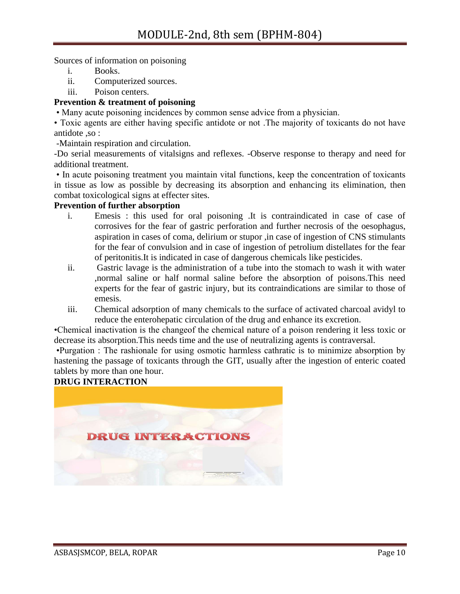Sources of information on poisoning

- i. Books.
- ii. Computerized sources.
- iii. Poison centers.

## **Prevention & treatment of poisoning**

• Many acute poisoning incidences by common sense advice from a physician.

• Toxic agents are either having specific antidote or not .The majority of toxicants do not have antidote ,so :

-Maintain respiration and circulation.

-Do serial measurements of vitalsigns and reflexes. -Observe response to therapy and need for additional treatment.

• In acute poisoning treatment you maintain vital functions, keep the concentration of toxicants in tissue as low as possible by decreasing its absorption and enhancing its elimination, then combat toxicological signs at effecter sites.

## **Prevention of further absorption**

- i. Emesis : this used for oral poisoning .It is contraindicated in case of case of corrosives for the fear of gastric perforation and further necrosis of the oesophagus, aspiration in cases of coma, delirium or stupor ,in case of ingestion of CNS stimulants for the fear of convulsion and in case of ingestion of petrolium distellates for the fear of peritonitis.It is indicated in case of dangerous chemicals like pesticides.
- ii. Gastric lavage is the administration of a tube into the stomach to wash it with water ,normal saline or half normal saline before the absorption of poisons.This need experts for the fear of gastric injury, but its contraindications are similar to those of emesis.
- iii. Chemical adsorption of many chemicals to the surface of activated charcoal avidyl to reduce the enterohepatic circulation of the drug and enhance its excretion.

•Chemical inactivation is the changeof the chemical nature of a poison rendering it less toxic or decrease its absorption.This needs time and the use of neutralizing agents is contraversal.

•Purgation : The rashionale for using osmotic harmless cathratic is to minimize absorption by hastening the passage of toxicants through the GIT, usually after the ingestion of enteric coated tablets by more than one hour.

# **DRUG INTERACTION**